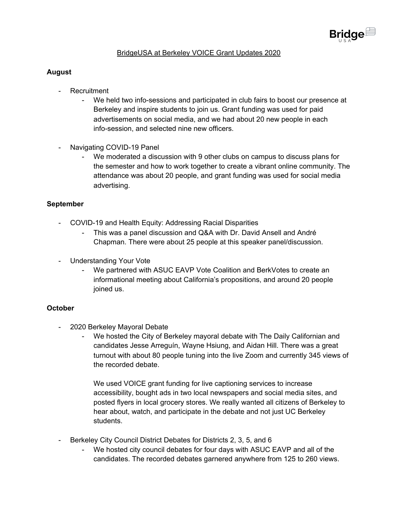

# BridgeUSA at Berkeley VOICE Grant Updates 2020

# **August**

- Recruitment
	- We held two info-sessions and participated in club fairs to boost our presence at Berkeley and inspire students to join us. Grant funding was used for paid advertisements on social media, and we had about 20 new people in each info-session, and selected nine new officers.
- Navigating COVID-19 Panel
	- We moderated a discussion with 9 other clubs on campus to discuss plans for the semester and how to work together to create a vibrant online community. The attendance was about 20 people, and grant funding was used for social media advertising.

### **September**

- COVID-19 and Health Equity: Addressing Racial Disparities
	- This was a panel discussion and Q&A with Dr. David Ansell and André Chapman. There were about 25 people at this speaker panel/discussion.
- Understanding Your Vote
	- We partnered with ASUC EAVP Vote Coalition and BerkVotes to create an informational meeting about California's propositions, and around 20 people joined us.

#### **October**

- 2020 Berkeley Mayoral Debate
	- We hosted the City of Berkeley mayoral debate with The Daily Californian and candidates Jesse Arreguín, Wayne Hsiung, and Aidan Hill. There was a great turnout with about 80 people tuning into the live Zoom and currently 345 views of the recorded debate.

We used VOICE grant funding for live captioning services to increase accessibility, bought ads in two local newspapers and social media sites, and posted flyers in local grocery stores. We really wanted all citizens of Berkeley to hear about, watch, and participate in the debate and not just UC Berkeley students.

- Berkeley City Council District Debates for Districts 2, 3, 5, and 6
	- We hosted city council debates for four days with ASUC EAVP and all of the candidates. The recorded debates garnered anywhere from 125 to 260 views.